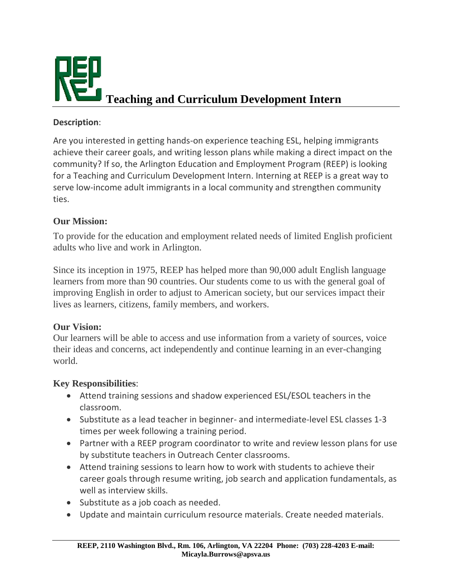

#### **Description**:

Are you interested in getting hands-on experience teaching ESL, helping immigrants achieve their career goals, and writing lesson plans while making a direct impact on the community? If so, the Arlington Education and Employment Program (REEP) is looking for a Teaching and Curriculum Development Intern. Interning at REEP is a great way to serve low-income adult immigrants in a local community and strengthen community ties.

### **Our Mission:**

To provide for the education and employment related needs of limited English proficient adults who live and work in Arlington.

Since its inception in 1975, REEP has helped more than 90,000 adult English language learners from more than 90 countries. Our students come to us with the general goal of improving English in order to adjust to American society, but our services impact their lives as learners, citizens, family members, and workers.

#### **Our Vision:**

Our learners will be able to access and use information from a variety of sources, voice their ideas and concerns, act independently and continue learning in an ever-changing world.

#### **Key Responsibilities**:

- Attend training sessions and shadow experienced ESL/ESOL teachers in the classroom.
- Substitute as a lead teacher in beginner- and intermediate-level ESL classes 1-3 times per week following a training period.
- Partner with a REEP program coordinator to write and review lesson plans for use by substitute teachers in Outreach Center classrooms.
- Attend training sessions to learn how to work with students to achieve their career goals through resume writing, job search and application fundamentals, as well as interview skills.
- Substitute as a job coach as needed.
- Update and maintain curriculum resource materials. Create needed materials.